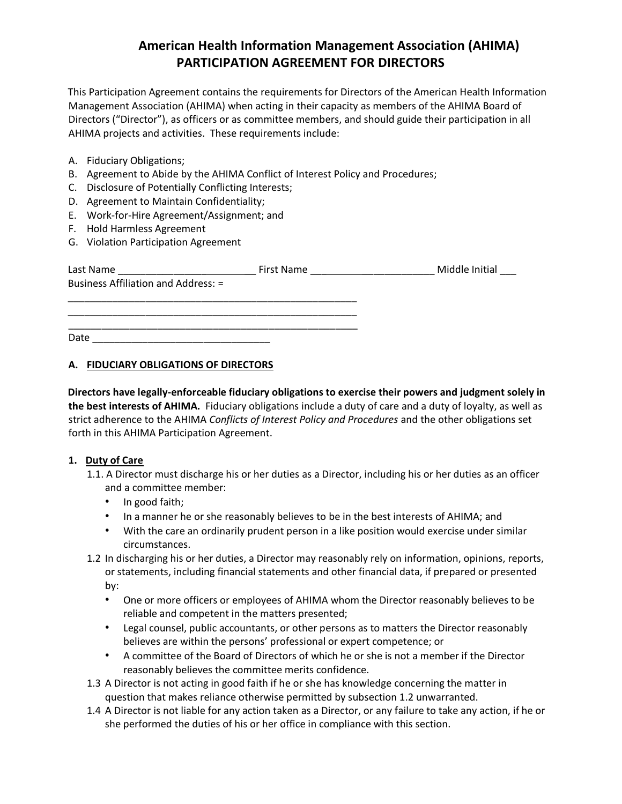# **American Health Information Management Association (AHIMA) PARTICIPATION AGREEMENT FOR DIRECTORS**

This Participation Agreement contains the requirements for Directors of the American Health Information Management Association (AHIMA) when acting in their capacity as members of the AHIMA Board of Directors ("Director"), as officers or as committee members, and should guide their participation in all AHIMA projects and activities. These requirements include:

- A. Fiduciary Obligations;
- B. Agreement to Abide by the AHIMA Conflict of Interest Policy and Procedures;
- C. Disclosure of Potentially Conflicting Interests;
- D. Agreement to Maintain Confidentiality;
- E. Work-for-Hire Agreement/Assignment; and
- F. Hold Harmless Agreement
- G. Violation Participation Agreement

| Last Name                                  | First Name | Middle Initial |
|--------------------------------------------|------------|----------------|
| <b>Business Affiliation and Address: =</b> |            |                |
|                                            |            |                |
|                                            |            |                |
|                                            |            |                |
| Date                                       |            |                |

# **A. FIDUCIARY OBLIGATIONS OF DIRECTORS**

**Directors have legally-enforceable fiduciary obligations to exercise their powers and judgment solely in the best interests of AHIMA.** Fiduciary obligations include a duty of care and a duty of loyalty, as well as strict adherence to the AHIMA *Conflicts of Interest Policy and Procedures* and the other obligations set forth in this AHIMA Participation Agreement.

# **1. Duty of Care**

- 1.1. A Director must discharge his or her duties as a Director, including his or her duties as an officer and a committee member:
	- In good faith;
	- In a manner he or she reasonably believes to be in the best interests of AHIMA; and
	- With the care an ordinarily prudent person in a like position would exercise under similar circumstances.
- 1.2 In discharging his or her duties, a Director may reasonably rely on information, opinions, reports, or statements, including financial statements and other financial data, if prepared or presented by:
	- One or more officers or employees of AHIMA whom the Director reasonably believes to be reliable and competent in the matters presented;
	- Legal counsel, public accountants, or other persons as to matters the Director reasonably believes are within the persons' professional or expert competence; or
	- A committee of the Board of Directors of which he or she is not a member if the Director reasonably believes the committee merits confidence.
- 1.3 A Director is not acting in good faith if he or she has knowledge concerning the matter in question that makes reliance otherwise permitted by subsection 1.2 unwarranted.
- 1.4 A Director is not liable for any action taken as a Director, or any failure to take any action, if he or she performed the duties of his or her office in compliance with this section.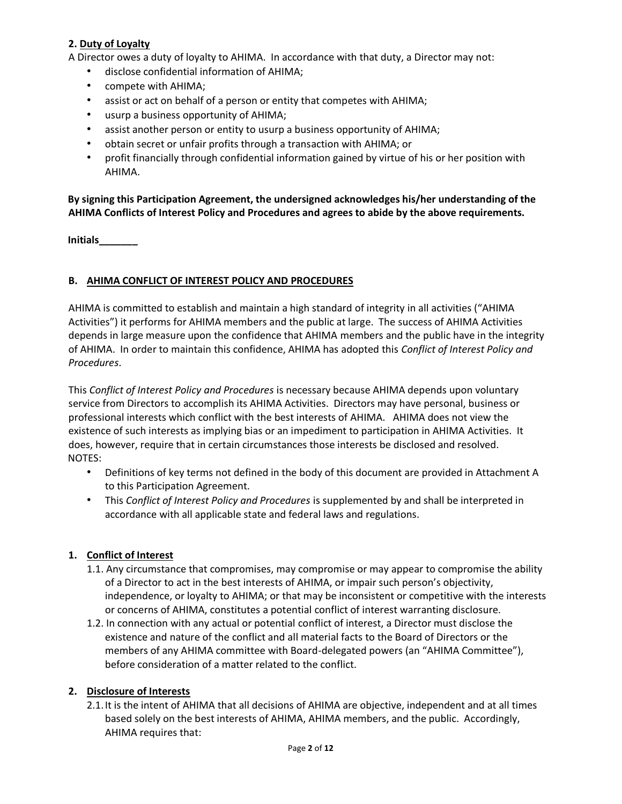# **2. Duty of Loyalty**

A Director owes a duty of loyalty to AHIMA. In accordance with that duty, a Director may not:

- disclose confidential information of AHIMA;
- compete with AHIMA;
- assist or act on behalf of a person or entity that competes with AHIMA;
- usurp a business opportunity of AHIMA;
- assist another person or entity to usurp a business opportunity of AHIMA;
- obtain secret or unfair profits through a transaction with AHIMA; or
- profit financially through confidential information gained by virtue of his or her position with AHIMA.

# **By signing this Participation Agreement, the undersigned acknowledges his/her understanding of the AHIMA Conflicts of Interest Policy and Procedures and agrees to abide by the above requirements.**

**Initials\_\_\_\_\_\_\_**

### **B. AHIMA CONFLICT OF INTEREST POLICY AND PROCEDURES**

AHIMA is committed to establish and maintain a high standard of integrity in all activities ("AHIMA Activities") it performs for AHIMA members and the public at large. The success of AHIMA Activities depends in large measure upon the confidence that AHIMA members and the public have in the integrity of AHIMA. In order to maintain this confidence, AHIMA has adopted this *Conflict of Interest Policy and Procedures*.

This *Conflict of Interest Policy and Procedures* is necessary because AHIMA depends upon voluntary service from Directors to accomplish its AHIMA Activities. Directors may have personal, business or professional interests which conflict with the best interests of AHIMA. AHIMA does not view the existence of such interests as implying bias or an impediment to participation in AHIMA Activities. It does, however, require that in certain circumstances those interests be disclosed and resolved. NOTES:

- Definitions of key terms not defined in the body of this document are provided in Attachment A to this Participation Agreement.
- This *Conflict of Interest Policy and Procedures* is supplemented by and shall be interpreted in accordance with all applicable state and federal laws and regulations.

# **1. Conflict of Interest**

- 1.1. Any circumstance that compromises, may compromise or may appear to compromise the ability of a Director to act in the best interests of AHIMA, or impair such person's objectivity, independence, or loyalty to AHIMA; or that may be inconsistent or competitive with the interests or concerns of AHIMA, constitutes a potential conflict of interest warranting disclosure.
- 1.2. In connection with any actual or potential conflict of interest, a Director must disclose the existence and nature of the conflict and all material facts to the Board of Directors or the members of any AHIMA committee with Board-delegated powers (an "AHIMA Committee"), before consideration of a matter related to the conflict.

#### **2. Disclosure of Interests**

2.1.It is the intent of AHIMA that all decisions of AHIMA are objective, independent and at all times based solely on the best interests of AHIMA, AHIMA members, and the public. Accordingly, AHIMA requires that: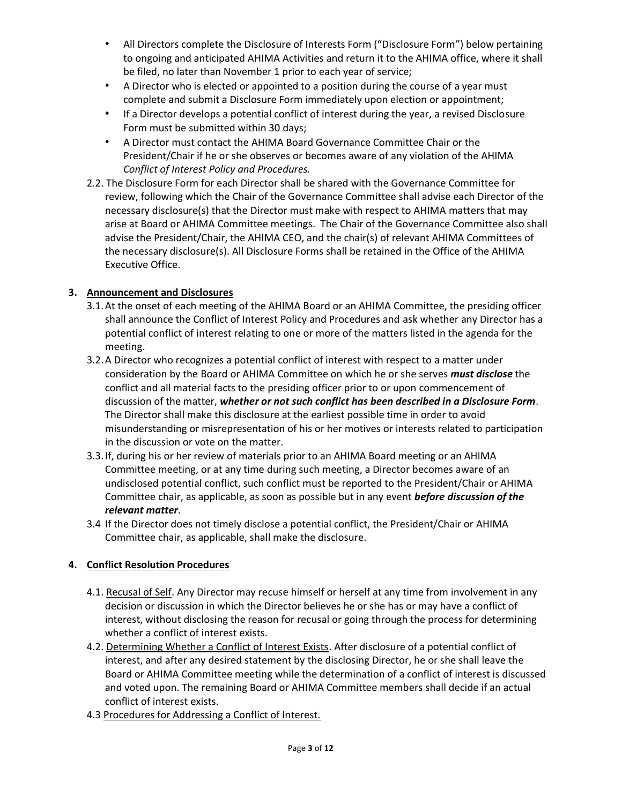- All Directors complete the Disclosure of Interests Form ("Disclosure Form") below pertaining to ongoing and anticipated AHIMA Activities and return it to the AHIMA office, where it shall be filed, no later than November 1 prior to each year of service;
- A Director who is elected or appointed to a position during the course of a year must complete and submit a Disclosure Form immediately upon election or appointment;
- If a Director develops a potential conflict of interest during the year, a revised Disclosure Form must be submitted within 30 days;
- A Director must contact the AHIMA Board Governance Committee Chair or the President/Chair if he or she observes or becomes aware of any violation of the AHIMA *Conflict of Interest Policy and Procedures.*
- 2.2. The Disclosure Form for each Director shall be shared with the Governance Committee for review, following which the Chair of the Governance Committee shall advise each Director of the necessary disclosure(s) that the Director must make with respect to AHIMA matters that may arise at Board or AHIMA Committee meetings. The Chair of the Governance Committee also shall advise the President/Chair, the AHIMA CEO, and the chair(s) of relevant AHIMA Committees of the necessary disclosure(s). All Disclosure Forms shall be retained in the Office of the AHIMA Executive Office.

# **3. Announcement and Disclosures**

- 3.1.At the onset of each meeting of the AHIMA Board or an AHIMA Committee, the presiding officer shall announce the Conflict of Interest Policy and Procedures and ask whether any Director has a potential conflict of interest relating to one or more of the matters listed in the agenda for the meeting.
- 3.2.A Director who recognizes a potential conflict of interest with respect to a matter under consideration by the Board or AHIMA Committee on which he or she serves *must disclose* the conflict and all material facts to the presiding officer prior to or upon commencement of discussion of the matter, *whether or not such conflict has been described in a Disclosure Form*. The Director shall make this disclosure at the earliest possible time in order to avoid misunderstanding or misrepresentation of his or her motives or interests related to participation in the discussion or vote on the matter.
- 3.3.If, during his or her review of materials prior to an AHIMA Board meeting or an AHIMA Committee meeting, or at any time during such meeting, a Director becomes aware of an undisclosed potential conflict, such conflict must be reported to the President/Chair or AHIMA Committee chair, as applicable, as soon as possible but in any event *before discussion of the relevant matter*.
- 3.4 If the Director does not timely disclose a potential conflict, the President/Chair or AHIMA Committee chair, as applicable, shall make the disclosure.

# **4. Conflict Resolution Procedures**

- 4.1. Recusal of Self. Any Director may recuse himself or herself at any time from involvement in any decision or discussion in which the Director believes he or she has or may have a conflict of interest, without disclosing the reason for recusal or going through the process for determining whether a conflict of interest exists.
- 4.2. Determining Whether a Conflict of Interest Exists. After disclosure of a potential conflict of interest, and after any desired statement by the disclosing Director, he or she shall leave the Board or AHIMA Committee meeting while the determination of a conflict of interest is discussed and voted upon. The remaining Board or AHIMA Committee members shall decide if an actual conflict of interest exists.
- 4.3 Procedures for Addressing a Conflict of Interest.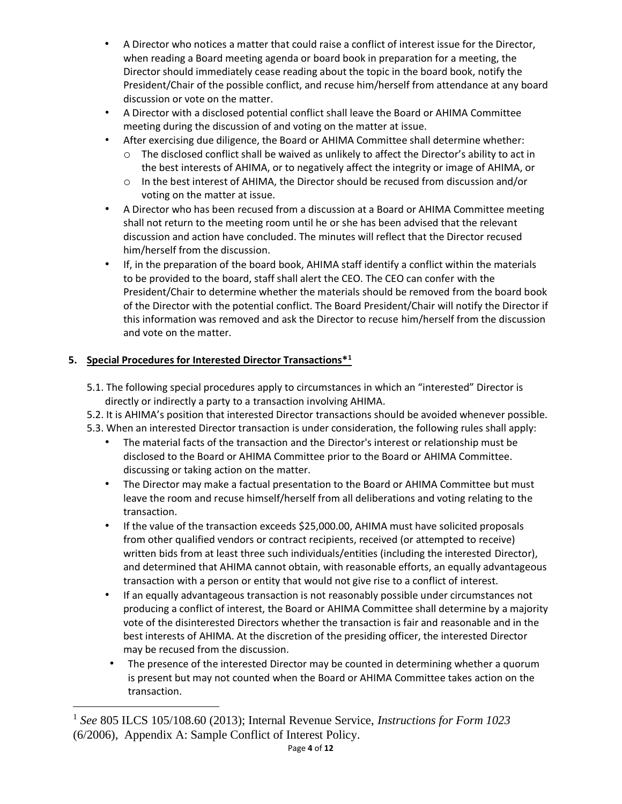- A Director who notices a matter that could raise a conflict of interest issue for the Director, when reading a Board meeting agenda or board book in preparation for a meeting, the Director should immediately cease reading about the topic in the board book, notify the President/Chair of the possible conflict, and recuse him/herself from attendance at any board discussion or vote on the matter.
- A Director with a disclosed potential conflict shall leave the Board or AHIMA Committee meeting during the discussion of and voting on the matter at issue.
- After exercising due diligence, the Board or AHIMA Committee shall determine whether:
	- o The disclosed conflict shall be waived as unlikely to affect the Director's ability to act in the best interests of AHIMA, or to negatively affect the integrity or image of AHIMA, or
	- o In the best interest of AHIMA, the Director should be recused from discussion and/or voting on the matter at issue.
- A Director who has been recused from a discussion at a Board or AHIMA Committee meeting shall not return to the meeting room until he or she has been advised that the relevant discussion and action have concluded. The minutes will reflect that the Director recused him/herself from the discussion.
- If, in the preparation of the board book, AHIMA staff identify a conflict within the materials to be provided to the board, staff shall alert the CEO. The CEO can confer with the President/Chair to determine whether the materials should be removed from the board book of the Director with the potential conflict. The Board President/Chair will notify the Director if this information was removed and ask the Director to recuse him/herself from the discussion and vote on the matter.

# **5. Special Procedures for Interested Director Transactions\*<sup>1</sup>**

- 5.1. The following special procedures apply to circumstances in which an "interested" Director is directly or indirectly a party to a transaction involving AHIMA.
- 5.2. It is AHIMA's position that interested Director transactions should be avoided whenever possible.
- 5.3. When an interested Director transaction is under consideration, the following rules shall apply:
	- The material facts of the transaction and the Director's interest or relationship must be disclosed to the Board or AHIMA Committee prior to the Board or AHIMA Committee. discussing or taking action on the matter.
	- The Director may make a factual presentation to the Board or AHIMA Committee but must leave the room and recuse himself/herself from all deliberations and voting relating to the transaction.
	- If the value of the transaction exceeds \$25,000.00, AHIMA must have solicited proposals from other qualified vendors or contract recipients, received (or attempted to receive) written bids from at least three such individuals/entities (including the interested Director), and determined that AHIMA cannot obtain, with reasonable efforts, an equally advantageous transaction with a person or entity that would not give rise to a conflict of interest.
	- If an equally advantageous transaction is not reasonably possible under circumstances not producing a conflict of interest, the Board or AHIMA Committee shall determine by a majority vote of the disinterested Directors whether the transaction is fair and reasonable and in the best interests of AHIMA. At the discretion of the presiding officer, the interested Director may be recused from the discussion.
	- The presence of the interested Director may be counted in determining whether a quorum is present but may not counted when the Board or AHIMA Committee takes action on the transaction.

<sup>1</sup> *See* 805 ILCS 105/108.60 (2013); Internal Revenue Service, *Instructions for Form 1023*  (6/2006), Appendix A: Sample Conflict of Interest Policy.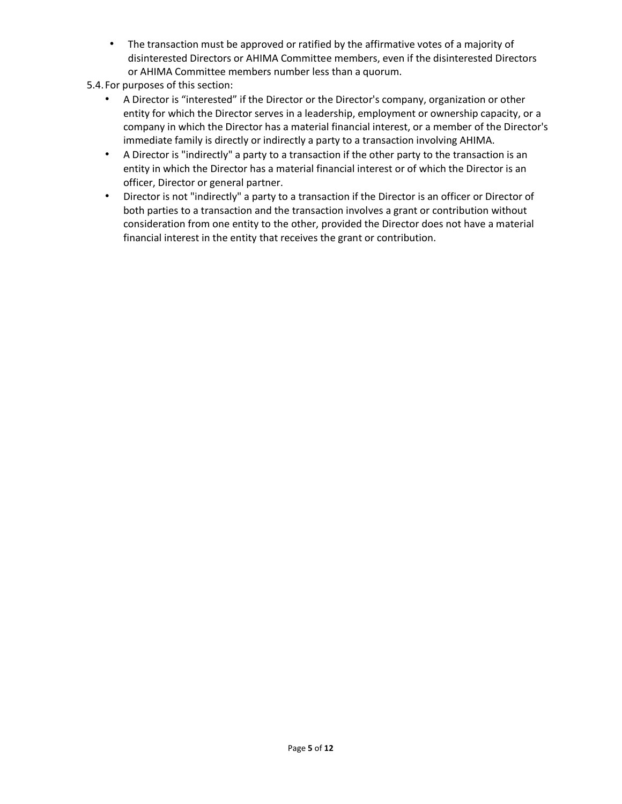- The transaction must be approved or ratified by the affirmative votes of a majority of disinterested Directors or AHIMA Committee members, even if the disinterested Directors or AHIMA Committee members number less than a quorum.
- 5.4.For purposes of this section:
	- A Director is "interested" if the Director or the Director's company, organization or other entity for which the Director serves in a leadership, employment or ownership capacity, or a company in which the Director has a material financial interest, or a member of the Director's immediate family is directly or indirectly a party to a transaction involving AHIMA.
	- A Director is "indirectly" a party to a transaction if the other party to the transaction is an entity in which the Director has a material financial interest or of which the Director is an officer, Director or general partner.
	- Director is not "indirectly" a party to a transaction if the Director is an officer or Director of both parties to a transaction and the transaction involves a grant or contribution without consideration from one entity to the other, provided the Director does not have a material financial interest in the entity that receives the grant or contribution.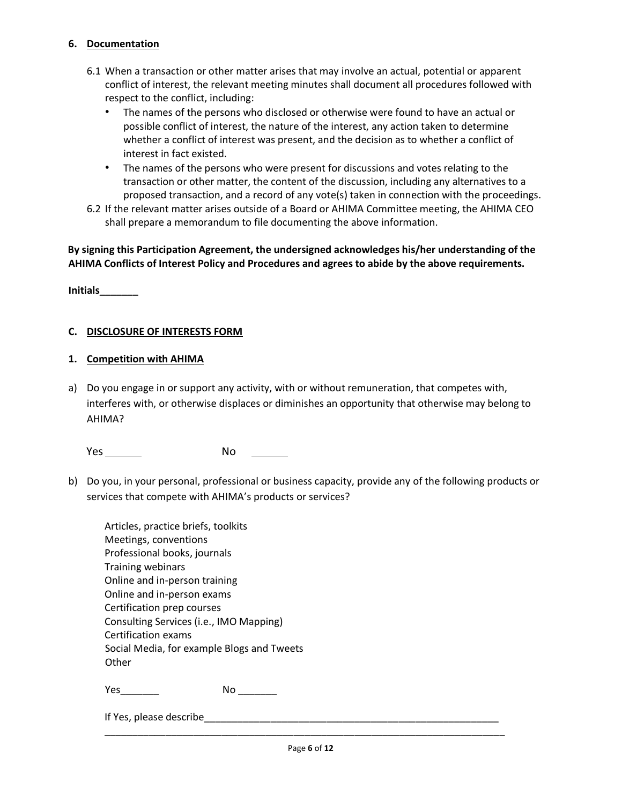### **6. Documentation**

- 6.1 When a transaction or other matter arises that may involve an actual, potential or apparent conflict of interest, the relevant meeting minutes shall document all procedures followed with respect to the conflict, including:
	- The names of the persons who disclosed or otherwise were found to have an actual or possible conflict of interest, the nature of the interest, any action taken to determine whether a conflict of interest was present, and the decision as to whether a conflict of interest in fact existed.
	- The names of the persons who were present for discussions and votes relating to the transaction or other matter, the content of the discussion, including any alternatives to a proposed transaction, and a record of any vote(s) taken in connection with the proceedings.
- 6.2 If the relevant matter arises outside of a Board or AHIMA Committee meeting, the AHIMA CEO shall prepare a memorandum to file documenting the above information.

**By signing this Participation Agreement, the undersigned acknowledges his/her understanding of the AHIMA Conflicts of Interest Policy and Procedures and agrees to abide by the above requirements.** 

**Initials\_\_\_\_\_\_\_**

### **C. DISCLOSURE OF INTERESTS FORM**

### **1. Competition with AHIMA**

a) Do you engage in or support any activity, with or without remuneration, that competes with, interferes with, or otherwise displaces or diminishes an opportunity that otherwise may belong to AHIMA?

Yes No

b) Do you, in your personal, professional or business capacity, provide any of the following products or services that compete with AHIMA's products or services?

| Articles, practice briefs, toolkits        |  |  |  |  |
|--------------------------------------------|--|--|--|--|
| Meetings, conventions                      |  |  |  |  |
| Professional books, journals               |  |  |  |  |
| <b>Training webinars</b>                   |  |  |  |  |
| Online and in-person training              |  |  |  |  |
| Online and in-person exams                 |  |  |  |  |
| Certification prep courses                 |  |  |  |  |
| Consulting Services (i.e., IMO Mapping)    |  |  |  |  |
| Certification exams                        |  |  |  |  |
| Social Media, for example Blogs and Tweets |  |  |  |  |
| Other                                      |  |  |  |  |
|                                            |  |  |  |  |

Yes\_\_\_\_\_\_\_ No \_\_\_\_\_\_\_

If Yes, please describe

\_\_\_\_\_\_\_\_\_\_\_\_\_\_\_\_\_\_\_\_\_\_\_\_\_\_\_\_\_\_\_\_\_\_\_\_\_\_\_\_\_\_\_\_\_\_\_\_\_\_\_\_\_\_\_\_\_\_\_\_\_\_\_\_\_\_\_\_\_\_\_\_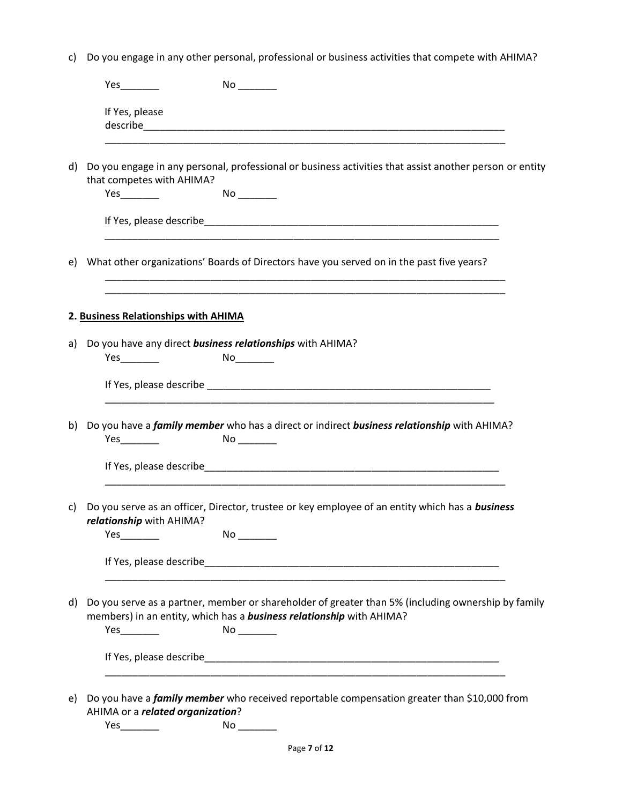c) Do you engage in any other personal, professional or business activities that compete with AHIMA?

|    | If Yes, please                       |                                                                                                                                                                                                                                |
|----|--------------------------------------|--------------------------------------------------------------------------------------------------------------------------------------------------------------------------------------------------------------------------------|
| d) | that competes with AHIMA?            | Do you engage in any personal, professional or business activities that assist another person or entity                                                                                                                        |
|    |                                      |                                                                                                                                                                                                                                |
|    |                                      | e) What other organizations' Boards of Directors have you served on in the past five years?                                                                                                                                    |
|    | 2. Business Relationships with AHIMA |                                                                                                                                                                                                                                |
| a) |                                      | Do you have any direct business relationships with AHIMA?                                                                                                                                                                      |
|    |                                      |                                                                                                                                                                                                                                |
| b) |                                      | Do you have a <i>family member</i> who has a direct or indirect business relationship with AHIMA?                                                                                                                              |
|    |                                      |                                                                                                                                                                                                                                |
| C) | relationship with AHIMA?             | Do you serve as an officer, Director, trustee or key employee of an entity which has a business                                                                                                                                |
|    |                                      | If Yes, please describe and the control of the control of the control of the control of the control of the control of the control of the control of the control of the control of the control of the control of the control of |
| d) |                                      | Do you serve as a partner, member or shareholder of greater than 5% (including ownership by family<br>members) in an entity, which has a <b>business relationship</b> with AHIMA?                                              |
|    |                                      |                                                                                                                                                                                                                                |
| e) | AHIMA or a related organization?     | Do you have a <i>family member</i> who received reportable compensation greater than \$10,000 from                                                                                                                             |
|    |                                      |                                                                                                                                                                                                                                |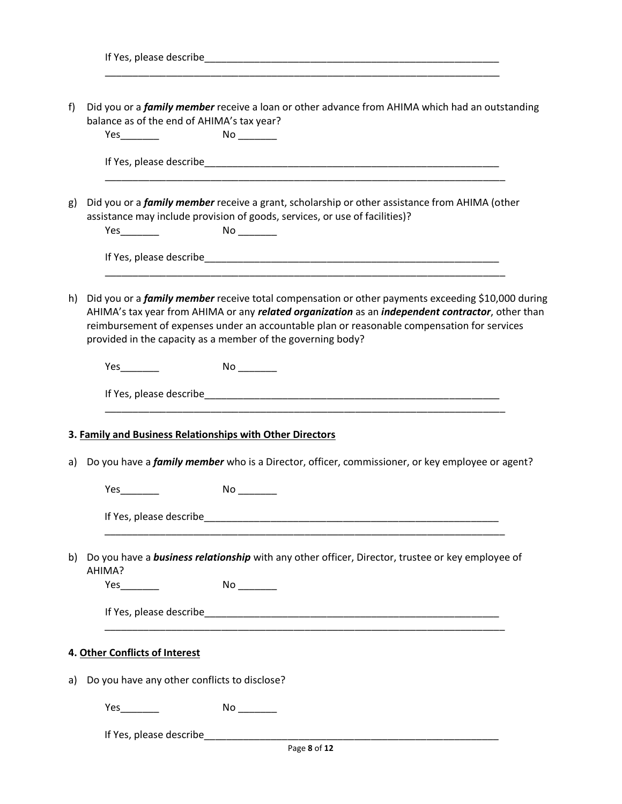| f) | Did you or a <i>family member</i> receive a loan or other advance from AHIMA which had an outstanding<br>balance as of the end of AHIMA's tax year?                                                                                                                                                                                                                        |  |  |  |  |
|----|----------------------------------------------------------------------------------------------------------------------------------------------------------------------------------------------------------------------------------------------------------------------------------------------------------------------------------------------------------------------------|--|--|--|--|
|    |                                                                                                                                                                                                                                                                                                                                                                            |  |  |  |  |
| g) | Did you or a <i>family member</i> receive a grant, scholarship or other assistance from AHIMA (other<br>assistance may include provision of goods, services, or use of facilities)?                                                                                                                                                                                        |  |  |  |  |
|    |                                                                                                                                                                                                                                                                                                                                                                            |  |  |  |  |
| h) | Did you or a <i>family member</i> receive total compensation or other payments exceeding \$10,000 during<br>AHIMA's tax year from AHIMA or any related organization as an independent contractor, other than<br>reimbursement of expenses under an accountable plan or reasonable compensation for services<br>provided in the capacity as a member of the governing body? |  |  |  |  |
|    |                                                                                                                                                                                                                                                                                                                                                                            |  |  |  |  |
|    |                                                                                                                                                                                                                                                                                                                                                                            |  |  |  |  |
| a) | 3. Family and Business Relationships with Other Directors<br>Do you have a <i>family member</i> who is a Director, officer, commissioner, or key employee or agent?                                                                                                                                                                                                        |  |  |  |  |
|    |                                                                                                                                                                                                                                                                                                                                                                            |  |  |  |  |
|    |                                                                                                                                                                                                                                                                                                                                                                            |  |  |  |  |
| b) | Do you have a <b>business relationship</b> with any other officer, Director, trustee or key employee of<br>AHIMA?                                                                                                                                                                                                                                                          |  |  |  |  |
|    |                                                                                                                                                                                                                                                                                                                                                                            |  |  |  |  |
|    | 4. Other Conflicts of Interest                                                                                                                                                                                                                                                                                                                                             |  |  |  |  |
| a) | Do you have any other conflicts to disclose?                                                                                                                                                                                                                                                                                                                               |  |  |  |  |
|    | No                                                                                                                                                                                                                                                                                                                                                                         |  |  |  |  |
|    |                                                                                                                                                                                                                                                                                                                                                                            |  |  |  |  |
|    | Page 8 of 12                                                                                                                                                                                                                                                                                                                                                               |  |  |  |  |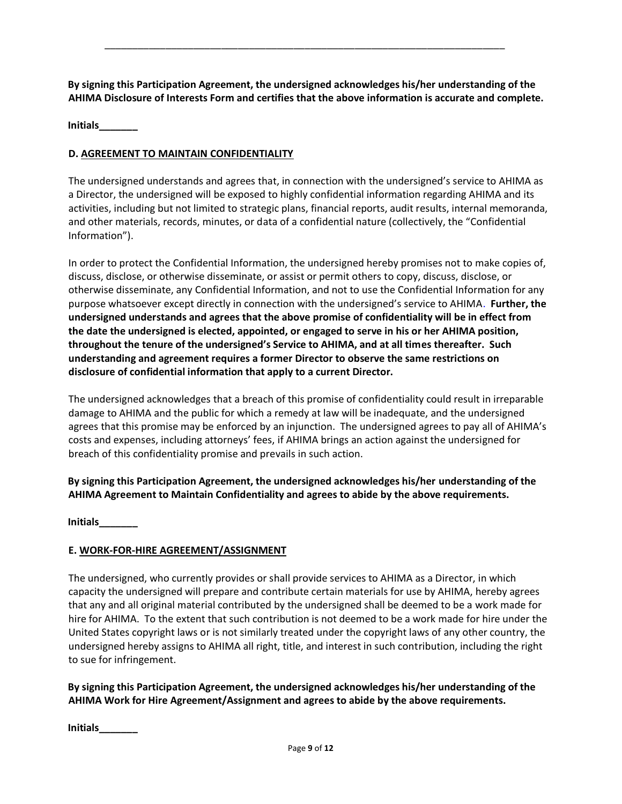**By signing this Participation Agreement, the undersigned acknowledges his/her understanding of the AHIMA Disclosure of Interests Form and certifies that the above information is accurate and complete.**

\_\_\_\_\_\_\_\_\_\_\_\_\_\_\_\_\_\_\_\_\_\_\_\_\_\_\_\_\_\_\_\_\_\_\_\_\_\_\_\_\_\_\_\_\_\_\_\_\_\_\_\_\_\_\_\_\_\_\_\_\_\_\_\_\_\_\_\_\_\_\_\_

**Initials\_\_\_\_\_\_\_**

# **D. AGREEMENT TO MAINTAIN CONFIDENTIALITY**

The undersigned understands and agrees that, in connection with the undersigned's service to AHIMA as a Director, the undersigned will be exposed to highly confidential information regarding AHIMA and its activities, including but not limited to strategic plans, financial reports, audit results, internal memoranda, and other materials, records, minutes, or data of a confidential nature (collectively, the "Confidential Information").

In order to protect the Confidential Information, the undersigned hereby promises not to make copies of, discuss, disclose, or otherwise disseminate, or assist or permit others to copy, discuss, disclose, or otherwise disseminate, any Confidential Information, and not to use the Confidential Information for any purpose whatsoever except directly in connection with the undersigned's service to AHIMA. **Further, the undersigned understands and agrees that the above promise of confidentiality will be in effect from the date the undersigned is elected, appointed, or engaged to serve in his or her AHIMA position, throughout the tenure of the undersigned's Service to AHIMA, and at all times thereafter. Such understanding and agreement requires a former Director to observe the same restrictions on disclosure of confidential information that apply to a current Director.** 

The undersigned acknowledges that a breach of this promise of confidentiality could result in irreparable damage to AHIMA and the public for which a remedy at law will be inadequate, and the undersigned agrees that this promise may be enforced by an injunction. The undersigned agrees to pay all of AHIMA's costs and expenses, including attorneys' fees, if AHIMA brings an action against the undersigned for breach of this confidentiality promise and prevails in such action.

**By signing this Participation Agreement, the undersigned acknowledges his/her understanding of the AHIMA Agreement to Maintain Confidentiality and agrees to abide by the above requirements.**

**Initials\_\_\_\_\_\_\_**

# **E. WORK-FOR-HIRE AGREEMENT/ASSIGNMENT**

The undersigned, who currently provides or shall provide services to AHIMA as a Director, in which capacity the undersigned will prepare and contribute certain materials for use by AHIMA, hereby agrees that any and all original material contributed by the undersigned shall be deemed to be a work made for hire for AHIMA. To the extent that such contribution is not deemed to be a work made for hire under the United States copyright laws or is not similarly treated under the copyright laws of any other country, the undersigned hereby assigns to AHIMA all right, title, and interest in such contribution, including the right to sue for infringement.

**By signing this Participation Agreement, the undersigned acknowledges his/her understanding of the AHIMA Work for Hire Agreement/Assignment and agrees to abide by the above requirements.** 

**Initials\_\_\_\_\_\_\_**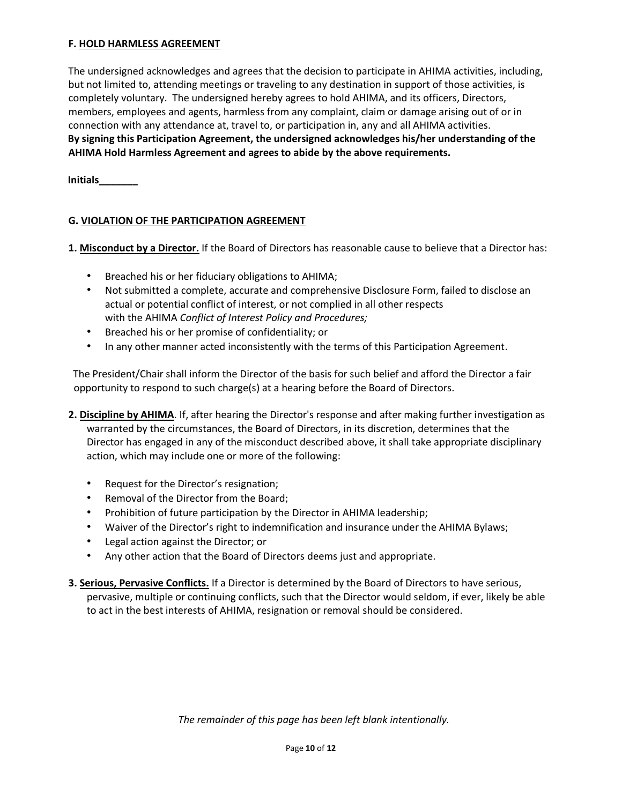### **F. HOLD HARMLESS AGREEMENT**

The undersigned acknowledges and agrees that the decision to participate in AHIMA activities, including, but not limited to, attending meetings or traveling to any destination in support of those activities, is completely voluntary. The undersigned hereby agrees to hold AHIMA, and its officers, Directors, members, employees and agents, harmless from any complaint, claim or damage arising out of or in connection with any attendance at, travel to, or participation in, any and all AHIMA activities. **By signing this Participation Agreement, the undersigned acknowledges his/her understanding of the AHIMA Hold Harmless Agreement and agrees to abide by the above requirements.**

**Initials\_\_\_\_\_\_\_**

# **G. VIOLATION OF THE PARTICIPATION AGREEMENT**

- **1. Misconduct by a Director.** If the Board of Directors has reasonable cause to believe that a Director has:
	- Breached his or her fiduciary obligations to AHIMA;
	- Not submitted a complete, accurate and comprehensive Disclosure Form, failed to disclose an actual or potential conflict of interest, or not complied in all other respects with the AHIMA *Conflict of Interest Policy and Procedures;*
	- Breached his or her promise of confidentiality; or
	- In any other manner acted inconsistently with the terms of this Participation Agreement.

The President/Chair shall inform the Director of the basis for such belief and afford the Director a fair opportunity to respond to such charge(s) at a hearing before the Board of Directors.

- **2. Discipline by AHIMA**. If, after hearing the Director's response and after making further investigation as warranted by the circumstances, the Board of Directors, in its discretion, determines that the Director has engaged in any of the misconduct described above, it shall take appropriate disciplinary action, which may include one or more of the following:
	- Request for the Director's resignation;
	- Removal of the Director from the Board;
	- Prohibition of future participation by the Director in AHIMA leadership;
	- Waiver of the Director's right to indemnification and insurance under the AHIMA Bylaws;
	- Legal action against the Director; or
	- Any other action that the Board of Directors deems just and appropriate.
- **3. Serious, Pervasive Conflicts.** If a Director is determined by the Board of Directors to have serious, pervasive, multiple or continuing conflicts, such that the Director would seldom, if ever, likely be able to act in the best interests of AHIMA, resignation or removal should be considered.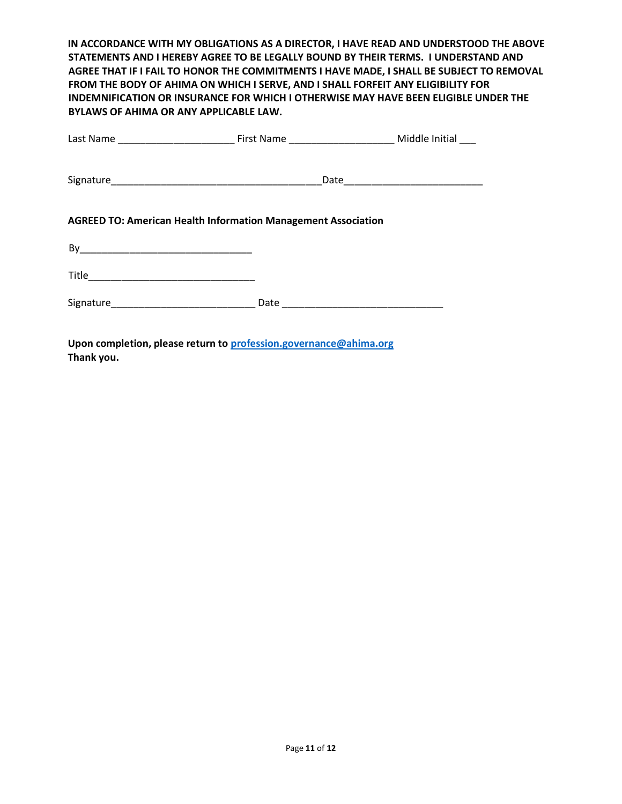**IN ACCORDANCE WITH MY OBLIGATIONS AS A DIRECTOR, I HAVE READ AND UNDERSTOOD THE ABOVE STATEMENTS AND I HEREBY AGREE TO BE LEGALLY BOUND BY THEIR TERMS. I UNDERSTAND AND AGREE THAT IF I FAIL TO HONOR THE COMMITMENTS I HAVE MADE, I SHALL BE SUBJECT TO REMOVAL FROM THE BODY OF AHIMA ON WHICH I SERVE, AND I SHALL FORFEIT ANY ELIGIBILITY FOR INDEMNIFICATION OR INSURANCE FOR WHICH I OTHERWISE MAY HAVE BEEN ELIGIBLE UNDER THE BYLAWS OF AHIMA OR ANY APPLICABLE LAW.**

| <b>AGREED TO: American Health Information Management Association</b> |  |  |  |  |  |  |  |
|----------------------------------------------------------------------|--|--|--|--|--|--|--|
|                                                                      |  |  |  |  |  |  |  |
|                                                                      |  |  |  |  |  |  |  |
|                                                                      |  |  |  |  |  |  |  |
| Upon completion, please return to profession.governance@ahima.org    |  |  |  |  |  |  |  |

**Thank you.**